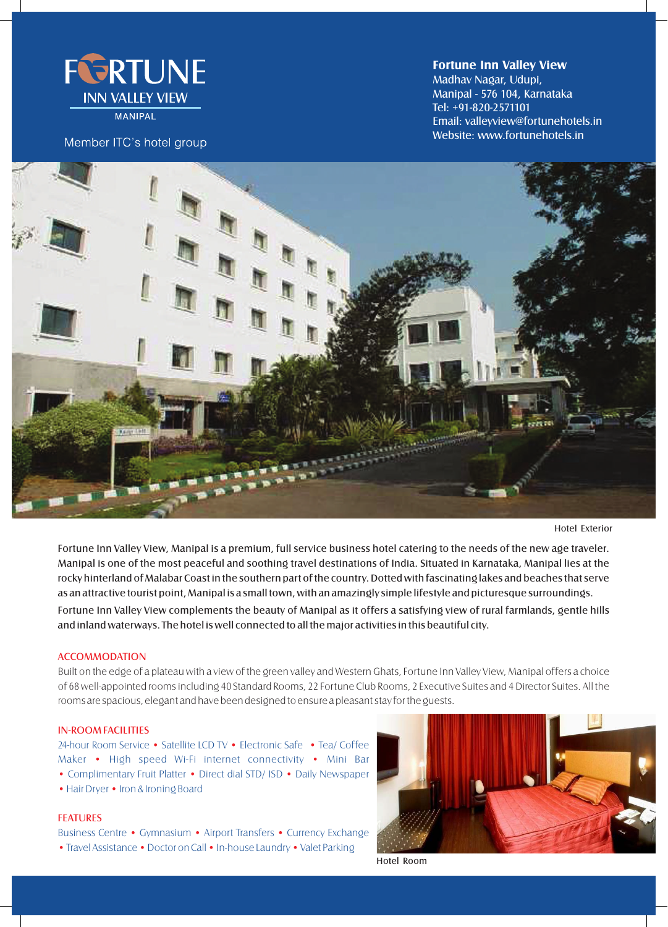

**MANIPAL** 

Member ITC's hotel group

**Fortune Inn Valley View**

Tel: +91-820-2571101 Madhav Nagar, Udupi, Manipal - 576 104, Karnataka Email: valleyview@fortunehotels.in Website: www.fortunehotels.in



Hotel Exterior

Fortune Inn Valley View complements the beauty of Manipal as it offers a satisfying view of rural farmlands, gentle hills and inland waterways. The hotel is well connected to all the major activities in this beautiful city. Fortune Inn Valley View, Manipal is a premium, full service business hotel catering to the needs of the new age traveler. Manipal is one of the most peaceful and soothing travel destinations of India. Situated in Karnataka, Manipal lies at the rocky hinterland of Malabar Coast in the southern part of the country. Dotted with fascinating lakes and beaches that serve as an attractive tourist point, Manipal is a small town, with an amazingly simple lifestyle and picturesque surroundings.

# **ACCOMMODATION**

Built on the edge of a plateau with a view of the green valley and Western Ghats, Fortune Inn Valley View, Manipal offers a choice of 68 well-appointed roomsincluding 40 Standard Rooms, 22 Fortune Club Rooms, 2 Executive Suites and 4 Director Suites. All the rooms are spacious, elegant and have been designed to ensure a pleasant stay for the guests.

#### IN-ROOM FACILITIES

24-hour Room Service • Satellite LCD TV • Electronic Safe • Tea/ Coffee Maker • High speed Wi-Fi internet connectivity • Mini Bar • Complimentary Fruit Platter • Direct dial STD/ ISD • Daily Newspaper • Hair Dryer • Iron & Ironing Board

FEATURES

Business Centre • Gymnasium • Airport Transfers • Currency Exchange • Travel Assistance • Doctor on Call • In-house Laundry • Valet Parking



Hotel Room